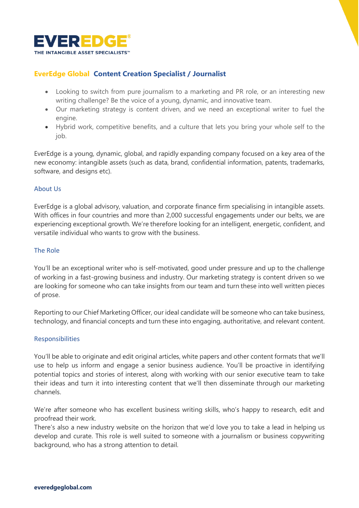

# **EverEdge Global Content Creation Specialist / Journalist**

- Looking to switch from pure journalism to a marketing and PR role, or an interesting new writing challenge? Be the voice of a young, dynamic, and innovative team.
- Our marketing strategy is content driven, and we need an exceptional writer to fuel the engine.
- Hybrid work, competitive benefits, and a culture that lets you bring your whole self to the job.

EverEdge is a young, dynamic, global, and rapidly expanding company focused on a key area of the new economy: intangible assets (such as data, brand, confidential information, patents, trademarks, software, and designs etc).

## About Us

EverEdge is a global advisory, valuation, and corporate finance firm specialising in intangible assets. With offices in four countries and more than 2,000 successful engagements under our belts, we are experiencing exceptional growth. We're therefore looking for an intelligent, energetic, confident, and versatile individual who wants to grow with the business.

## The Role

You'll be an exceptional writer who is self-motivated, good under pressure and up to the challenge of working in a fast-growing business and industry. Our marketing strategy is content driven so we are looking for someone who can take insights from our team and turn these into well written pieces of prose.

Reporting to our Chief Marketing Officer, our ideal candidate will be someone who can take business, technology, and financial concepts and turn these into engaging, authoritative, and relevant content.

## Responsibilities

You'll be able to originate and edit original articles, white papers and other content formats that we'll use to help us inform and engage a senior business audience. You'll be proactive in identifying potential topics and stories of interest, along with working with our senior executive team to take their ideas and turn it into interesting content that we'll then disseminate through our marketing channels.

We're after someone who has excellent business writing skills, who's happy to research, edit and proofread their work.

There's also a new industry website on the horizon that we'd love you to take a lead in helping us develop and curate. This role is well suited to someone with a journalism or business copywriting background, who has a strong attention to detail.